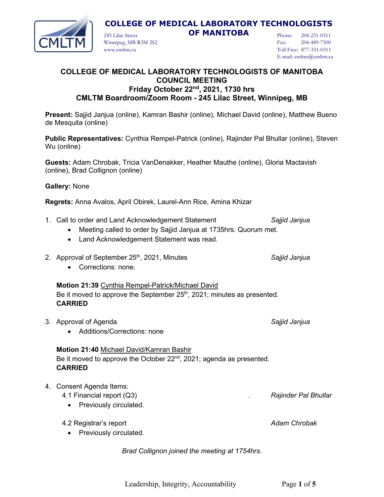

245 Lilac Street **OF MANITOBA**

Phone: 204-231-0311 Fax: 204-489-7300 Toll Free: 877-331-0311 E-mail: cmltm@cmltm.ca

#### **COLLEGE OF MEDICAL LABORATORY TECHNOLOGISTS OF MANITOBA COUNCIL MEETING Friday October 22nd, 2021, 1730 hrs CMLTM Boardroom/Zoom Room - 245 Lilac Street, Winnipeg, MB**

**Present:** Sajjid Janjua (online), Kamran Bashir (online), Michael David (online), Matthew Bueno de Mesquita (online)

**Public Representatives:** Cynthia Rempel-Patrick (online), Rajinder Pal Bhullar (online), Steven Wu (online)

**Guests:** Adam Chrobak, Tricia VanDenakker, Heather Mauthe (online), Gloria Mactavish (online), Brad Collignon (online)

#### **Gallery:** None

**Regrets:** Anna Avalos, April Obirek, Laurel-Ann Rice, Amina Khizar

Winnipeg, MB R3M 2S2

www.cmltm.ca

- 1. Call to order and Land Acknowledgement Statement *Sajjid Janjua*
	- Meeting called to order by Sajjid Janjua at 1735hrs. Quorum met.
	- Land Acknowledgement Statement was read.
- 2. Approval of September 25th, 2021, Minutes *Sajjid Janjua*
	- Corrections: none.

**Motion 21:39** Cynthia Rempel-Patrick/Michael David Be it moved to approve the September  $25<sup>th</sup>$ , 2021; minutes as presented. **CARRIED**

- 3. Approval of Agenda *Sajjid Janjua*
	- Additions/Corrections: none

## **Motion 21:40** Michael David/Kamran Bashir Be it moved to approve the October 22<sup>nd</sup>, 2021; agenda as presented.

# **CARRIED**

- 4. Consent Agenda Items: 4.1 Financial report (Q3) . *Rajinder Pal Bhullar*
	- Previously circulated.

4.2 Registrar's report *Adam Chrobak*

- Previously circulated.
	- *Brad Collignon joined the meeting at 1754hrs.*

Leadership, Integrity, Accountability Page **1** of **5**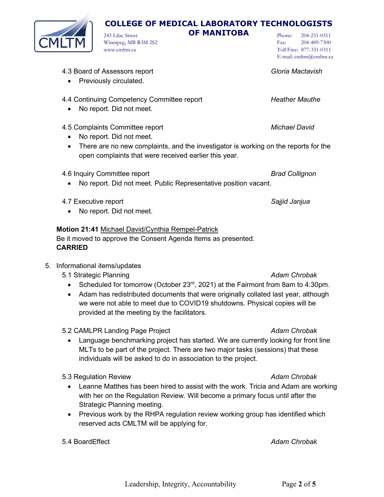5.4 BoardEffect *Adam Chrobak*

| • Previously circulated.                   |                       |
|--------------------------------------------|-----------------------|
| 4.4 Continuing Competency Committee report | <b>Heather Mauthe</b> |
| No report. Did not meet.                   |                       |

245 Lilac Street **OF MANITOBA** 

4.3 Board of Assessors report *Gloria Mactavish*

4.5 Complaints Committee report *Michael David*

Winnipeg, MB R3M 2S2

www.cmltm.ca

- No report. Did not meet.
- There are no new complaints, and the investigator is working on the reports for the open complaints that were received earlier this year.

**COLLEGE OF MEDICAL LABORATORY TECHNOLOGISTS** 

4.6 Inquiry Committee report *Brad Collignon*

- No report. Did not meet. Public Representative position vacant.
- 4.7 Executive report *Sajjid Janjua*

• No report. Did not meet.

# **Motion 21:41** Michael David/Cynthia Rempel-Patrick

Be it moved to approve the Consent Agenda Items as presented. **CARRIED**

- 5. Informational items/updates
	- 5.1 Strategic Planning *Adam Chrobak*
		- Scheduled for tomorrow (October  $23<sup>rd</sup>$ , 2021) at the Fairmont from 8am to 4:30pm.
		- Adam has redistributed documents that were originally collated last year, although we were not able to meet due to COVID19 shutdowns. Physical copies will be provided at the meeting by the facilitators.

5.2 CAMLPR Landing Page Project *Adam Chrobak*

• Language benchmarking project has started. We are currently looking for front line MLTs to be part of the project. There are two major tasks (sessions) that these individuals will be asked to do in association to the project.

5.3 Regulation Review *Adam Chrobak*

- Leanne Matthes has been hired to assist with the work. Tricia and Adam are working with her on the Regulation Review. Will become a primary focus until after the Strategic Planning meeting.
- Previous work by the RHPA regulation review working group has identified which reserved acts CMLTM will be applying for.



Phone: 204-231-0311 Fax: 204-489-7300 Toll Free: 877-331-0311 E-mail: cmltm@cmltm.ca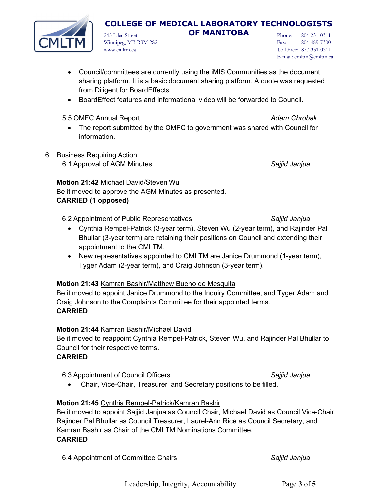245 Lilac Street **OF MANITOBA**

Phone: 204-231-0311 Fax: 204-489-7300 Toll Free: 877-331-0311 E-mail: cmltm@cmltm.ca

Leadership, Integrity, Accountability Page **3** of **5**

- Council/committees are currently using the iMIS Communities as the document sharing platform. It is a basic document sharing platform. A quote was requested from Diligent for BoardEffects.
- BoardEffect features and informational video will be forwarded to Council.

5.5 OMFC Annual Report *Adam Chrobak*

- The report submitted by the OMFC to government was shared with Council for information.
- 6. Business Requiring Action 6.1 Approval of AGM Minutes *Sajjid Janjua*

### **Motion 21:42** Michael David/Steven Wu

Be it moved to approve the AGM Minutes as presented. **CARRIED (1 opposed)**

6.2 Appointment of Public Representatives *Sajjid Janjua*

Winnipeg, MB R3M 2S2

www.cmltm.ca

- Cynthia Rempel-Patrick (3-year term), Steven Wu (2-year term), and Rajinder Pal Bhullar (3-year term) are retaining their positions on Council and extending their appointment to the CMLTM.
- New representatives appointed to CMLTM are Janice Drummond (1-year term), Tyger Adam (2-year term), and Craig Johnson (3-year term).

#### **Motion 21:43** Kamran Bashir/Matthew Bueno de Mesquita

Be it moved to appoint Janice Drummond to the Inquiry Committee, and Tyger Adam and Craig Johnson to the Complaints Committee for their appointed terms. **CARRIED**

#### **Motion 21:44** Kamran Bashir/Michael David

Be it moved to reappoint Cynthia Rempel-Patrick, Steven Wu, and Rajinder Pal Bhullar to Council for their respective terms.

#### **CARRIED**

6.3 Appointment of Council Officers *Sajjid Janjua*

• Chair, Vice-Chair, Treasurer, and Secretary positions to be filled.

#### **Motion 21:45** Cynthia Rempel-Patrick/Kamran Bashir

Be it moved to appoint Sajjid Janjua as Council Chair, Michael David as Council Vice-Chair, Rajinder Pal Bhullar as Council Treasurer, Laurel-Ann Rice as Council Secretary, and Kamran Bashir as Chair of the CMLTM Nominations Committee. **CARRIED**

6.4 Appointment of Committee Chairs *Sajjid Janjua*



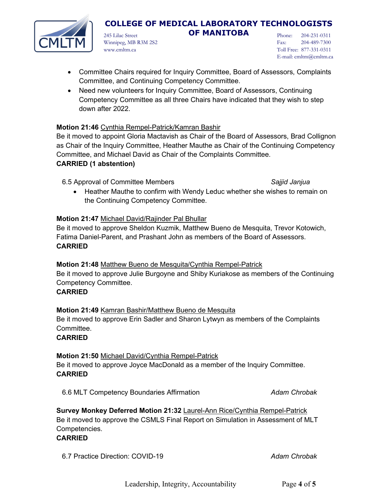

Winnipeg, MB R3M 2S2

245 Lilac Street **OF MANITOBA**

Phone: 204-231-0311 Fax: 204-489-7300 Toll Free: 877-331-0311 E-mail: cmltm@cmltm.ca

- Committee Chairs required for Inquiry Committee, Board of Assessors, Complaints Committee, and Continuing Competency Committee.
- Need new volunteers for Inquiry Committee, Board of Assessors, Continuing Competency Committee as all three Chairs have indicated that they wish to step down after 2022.

### **Motion 21:46** Cynthia Rempel-Patrick/Kamran Bashir

Be it moved to appoint Gloria Mactavish as Chair of the Board of Assessors, Brad Collignon as Chair of the Inquiry Committee, Heather Mauthe as Chair of the Continuing Competency Committee, and Michael David as Chair of the Complaints Committee.

#### **CARRIED (1 abstention)**

6.5 Approval of Committee Members *Sajjid Janjua*

www.cmltm.ca

• Heather Mauthe to confirm with Wendy Leduc whether she wishes to remain on the Continuing Competency Committee.

#### **Motion 21:47** Michael David/Rajinder Pal Bhullar

Be it moved to approve Sheldon Kuzmik, Matthew Bueno de Mesquita, Trevor Kotowich, Fatima Daniel-Parent, and Prashant John as members of the Board of Assessors. **CARRIED**

#### **Motion 21:48** Matthew Bueno de Mesquita/Cynthia Rempel-Patrick

Be it moved to approve Julie Burgoyne and Shiby Kuriakose as members of the Continuing Competency Committee.

#### **CARRIED**

#### **Motion 21:49** Kamran Bashir/Matthew Bueno de Mesquita

Be it moved to approve Erin Sadler and Sharon Lytwyn as members of the Complaints Committee.

#### **CARRIED**

## **Motion 21:50** Michael David/Cynthia Rempel-Patrick

Be it moved to approve Joyce MacDonald as a member of the Inquiry Committee. **CARRIED**

6.6 MLT Competency Boundaries Affirmation *Adam Chrobak*

**Survey Monkey Deferred Motion 21:32** Laurel-Ann Rice/Cynthia Rempel-Patrick Be it moved to approve the CSMLS Final Report on Simulation in Assessment of MLT Competencies.

#### **CARRIED**

6.7 Practice Direction: COVID-19 *Adam Chrobak*